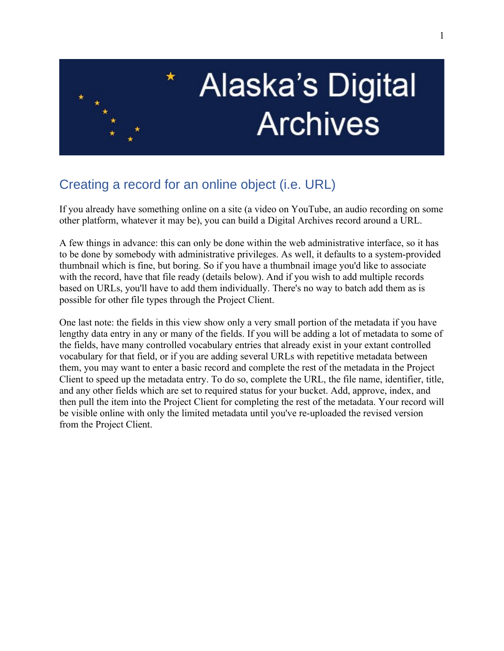

## **Alaska's Digital Archives**

## Creating a record for an online object (i.e. URL)

If you already have something online on a site (a video on YouTube, an audio recording on some other platform, whatever it may be), you can build a Digital Archives record around a URL.

A few things in advance: this can only be done within the web administrative interface, so it has to be done by somebody with administrative privileges. As well, it defaults to a system-provided thumbnail which is fine, but boring. So if you have a thumbnail image you'd like to associate with the record, have that file ready (details below). And if you wish to add multiple records based on URLs, you'll have to add them individually. There's no way to batch add them as is possible for other file types through the Project Client.

One last note: the fields in this view show only a very small portion of the metadata if you have lengthy data entry in any or many of the fields. If you will be adding a lot of metadata to some of the fields, have many controlled vocabulary entries that already exist in your extant controlled vocabulary for that field, or if you are adding several URLs with repetitive metadata between them, you may want to enter a basic record and complete the rest of the metadata in the Project Client to speed up the metadata entry. To do so, complete the URL, the file name, identifier, title, and any other fields which are set to required status for your bucket. Add, approve, index, and then pull the item into the Project Client for completing the rest of the metadata. Your record will be visible online with only the limited metadata until you've re-uploaded the revised version from the Project Client.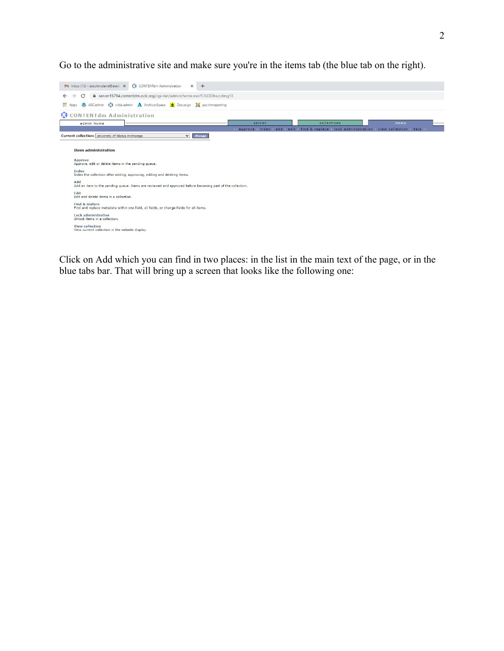Go to the administrative site and make sure you're in the items tab (the blue tab on the right).



Click on Add which you can find in two places: in the list in the main text of the page, or in the blue tabs bar. That will bring up a screen that looks like the following one: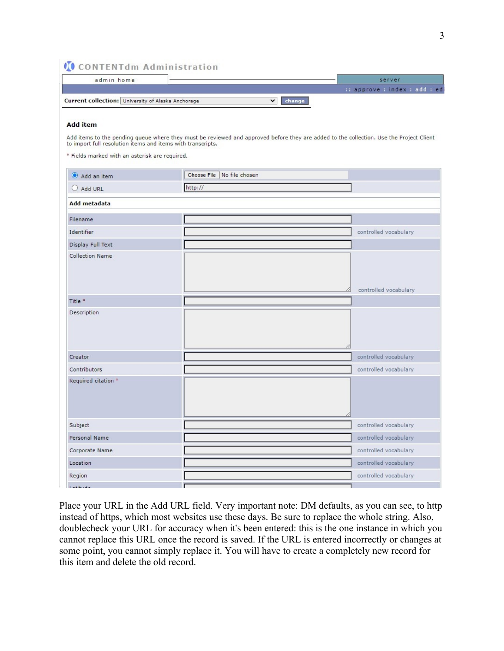## **CONTENTIM Administration**

| admin home                                         | server                         |
|----------------------------------------------------|--------------------------------|
|                                                    | :: approve : index : add : edi |
| Current collection: University of Alaska Anchorage |                                |

## **Add item**

Add items to the pending queue where they must be reviewed and approved before they are added to the collection. Use the Project Client to import full resolution items and items with transcripts.

\* Fields marked with an asterisk are required.

| Add an item         | Choose File   No file chosen |                       |  |
|---------------------|------------------------------|-----------------------|--|
| Add URL             | http://                      |                       |  |
| Add metadata        |                              |                       |  |
| Filename            |                              |                       |  |
| Identifier          |                              | controlled vocabulary |  |
| Display Full Text   |                              |                       |  |
| Collection Name     | 4                            | controlled vocabulary |  |
| Title <sup>*</sup>  |                              |                       |  |
| Description         |                              |                       |  |
| Creator             |                              | controlled vocabulary |  |
| Contributors        |                              | controlled vocabulary |  |
| Required citation * |                              |                       |  |
| Subject             |                              | controlled vocabulary |  |
| Personal Name       |                              | controlled vocabulary |  |
| Corporate Name      |                              | controlled vocabulary |  |
| Location            |                              | controlled vocabulary |  |
| Region              |                              | controlled vocabulary |  |
| $I -$ Fitude        |                              |                       |  |

Place your URL in the Add URL field. Very important note: DM defaults, as you can see, to http instead of https, which most websites use these days. Be sure to replace the whole string. Also, doublecheck your URL for accuracy when it's been entered: this is the one instance in which you cannot replace this URL once the record is saved. If the URL is entered incorrectly or changes at some point, you cannot simply replace it. You will have to create a completely new record for this item and delete the old record.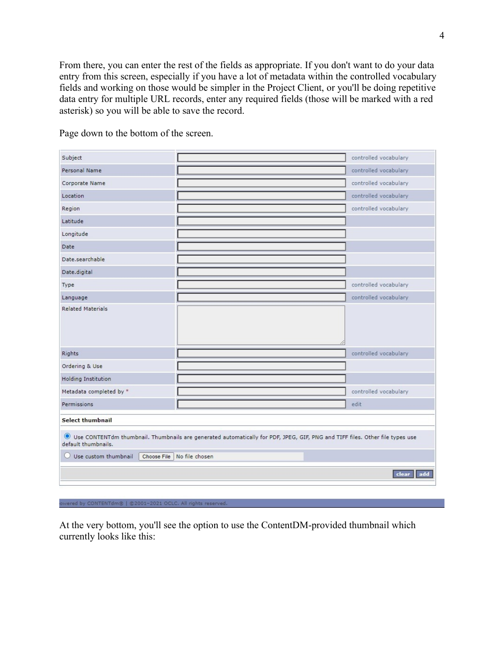From there, you can enter the rest of the fields as appropriate. If you don't want to do your data entry from this screen, especially if you have a lot of metadata within the controlled vocabulary fields and working on those would be simpler in the Project Client, or you'll be doing repetitive data entry for multiple URL records, enter any required fields (those will be marked with a red asterisk) so you will be able to save the record.

| Subject                                                                                                                                             |  | controlled vocabulary |  |  |
|-----------------------------------------------------------------------------------------------------------------------------------------------------|--|-----------------------|--|--|
| Personal Name                                                                                                                                       |  | controlled vocabulary |  |  |
| Corporate Name                                                                                                                                      |  | controlled vocabulary |  |  |
| Location                                                                                                                                            |  | controlled vocabulary |  |  |
| Region                                                                                                                                              |  | controlled vocabulary |  |  |
| Latitude                                                                                                                                            |  |                       |  |  |
| Longitude                                                                                                                                           |  |                       |  |  |
| Date                                                                                                                                                |  |                       |  |  |
| Date, searchable                                                                                                                                    |  |                       |  |  |
| Date.digital                                                                                                                                        |  |                       |  |  |
| Type                                                                                                                                                |  | controlled vocabulary |  |  |
| Language                                                                                                                                            |  | controlled vocabulary |  |  |
| <b>Related Materials</b>                                                                                                                            |  |                       |  |  |
| <b>Rights</b>                                                                                                                                       |  | controlled vocabulary |  |  |
| Ordering & Use                                                                                                                                      |  |                       |  |  |
| <b>Holding Institution</b>                                                                                                                          |  |                       |  |  |
| Metadata completed by *                                                                                                                             |  | controlled vocabulary |  |  |
| Permissions                                                                                                                                         |  | edit                  |  |  |
| <b>Select thumbnail</b>                                                                                                                             |  |                       |  |  |
| Use CONTENTdm thumbnail. Thumbnails are generated automatically for PDF, JPEG, GIF, PNG and TIFF files. Other file types use<br>default thumbnails. |  |                       |  |  |
| Choose File No file chosen<br>$\bigcirc$ Use custom thumbnail                                                                                       |  |                       |  |  |
| add<br>clear                                                                                                                                        |  |                       |  |  |
|                                                                                                                                                     |  |                       |  |  |

Page down to the bottom of the screen.

```
owered by CONTENTdm® | @2001-2021 OCLC. All rights reserved
```
At the very bottom, you'll see the option to use the ContentDM-provided thumbnail which currently looks like this: